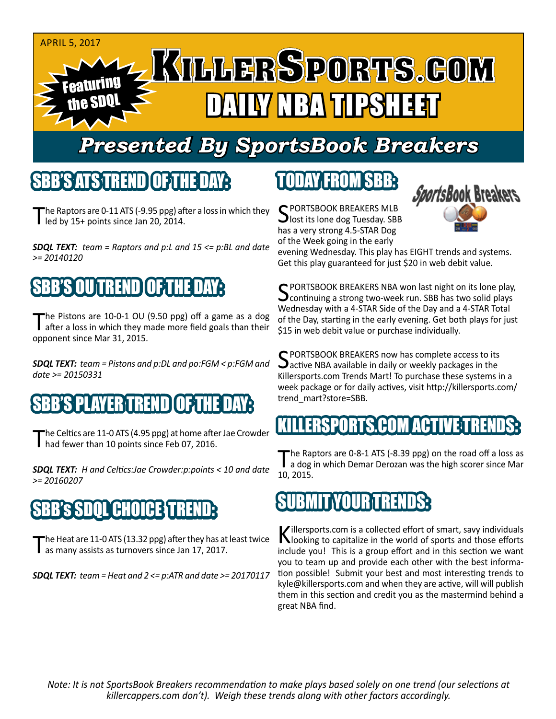#### April 5, 2017

# Featuring the SDQL DAILY NBA TIPSHEET

# *Presented By SportsBook Breakers*

#### SBB'S ATSTREND

The Raptors are 0-11 ATS (-9.95 ppg) after a loss in which they led by 15+ points since Jan 20, 2014.

*SDQL TEXT: team = Raptors and p:L and 15 <= p:BL and date >= 20140120*

# SBB'S OU TREND OF TH

The Pistons are 10-0-1 OU (9.50 ppg) off a game as a dog<br>after a loss in which they made more field goals than their opponent since Mar 31, 2015.

*SDQL TEXT: team = Pistons and p:DL and po:FGM < p:FGM and date >= 20150331*

### S PLAYER TREND OF TH

The Celtics are 11-0 ATS (4.95 ppg) at home after Jae Crowder<br>
had fewer than 10 points since Feb 07, 2016.

*SDQL TEXT: H and Celtics:Jae Crowder:p:points < 10 and date >= 20160207*

# SBB's SDQL CHOICE TREND:

The Heat are 11-0 ATS (13.32 ppg) after they has at least twice<br>as many assists as turnovers since Jan 17, 2017.

*SDQL TEXT: team = Heat and 2 <= p:ATR and date >= 20170117*

# TODAY FROM SBB:

C PORTSBOOK BREAKERS MLB  $\Box$  lost its lone dog Tuesday. SBB has a very strong 4.5-STAR Dog of the Week going in the early



evening Wednesday. This play has EIGHT trends and systems. Get this play guaranteed for just \$20 in web debit value.

C PORTSBOOK BREAKERS NBA won last night on its lone play,  $\mathbf{\cup}$  continuing a strong two-week run. SBB has two solid plays Wednesday with a 4-STAR Side of the Day and a 4-STAR Total of the Day, starting in the early evening. Get both plays for just \$15 in web debit value or purchase individually.

SPORTSBOOK BREAKERS now has complete access to its<br>active NBA available in daily or weekly packages in the Killersports.com Trends Mart! To purchase these systems in a week package or for daily actives, visit http://killersports.com/ trend\_mart?store=SBB.

### IKILLERSPORTS.COM ACTIVE:T

The Raptors are 0-8-1 ATS (-8.39 ppg) on the road off a loss as<br>a dog in which Demar Derozan was the high scorer since Mar 10, 2015.



Killersports.com is a collected effort of smart, savy individuals<br>Nooking to capitalize in the world of sports and those efforts include you! This is a group effort and in this section we want you to team up and provide each other with the best information possible! Submit your best and most interesting trends to kyle@killersports.com and when they are active, will will publish them in this section and credit you as the mastermind behind a great NBA find.

*Note: It is not SportsBook Breakers recommendation to make plays based solely on one trend (our selections at killercappers.com don't). Weigh these trends along with other factors accordingly.*